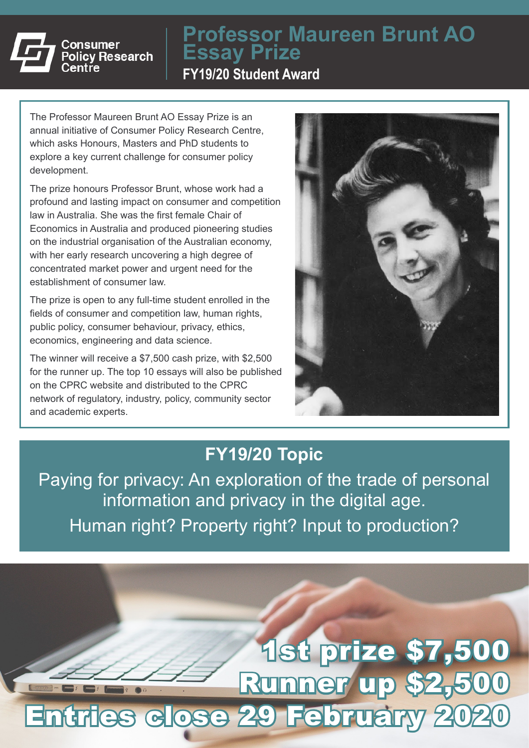

## **Professor Maureen Brunt AO Essay Prize**

**FY19/20 Student Award**

The Professor Maureen Brunt AO Essay Prize is an annual initiative of Consumer Policy Research Centre, which asks Honours, Masters and PhD students to explore a key current challenge for consumer policy development.

The prize honours Professor Brunt, whose work had a profound and lasting impact on consumer and competition law in Australia. She was the first female Chair of Economics in Australia and produced pioneering studies on the industrial organisation of the Australian economy, with her early research uncovering a high degree of concentrated market power and urgent need for the establishment of consumer law.

The prize is open to any full-time student enrolled in the fields of consumer and competition law, human rights, public policy, consumer behaviour, privacy, ethics, economics, engineering and data science.

The winner will receive a \$7,500 cash prize, with \$2,500 for the runner up. The top 10 essays will also be published on the CPRC website and distributed to the CPRC network of regulatory, industry, policy, community sector and academic experts.



### **FY19/20 Topic**

Paying for privacy: An exploration of the trade of personal information and privacy in the digital age. Human right? Property right? Input to production?

# 1st prize \$7,500 Runner up \$2,500 Entries close 29 February 2020